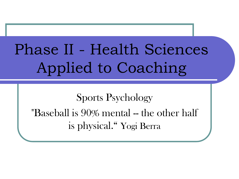# Phase II - Health Sciences Applied to Coaching

Sports Psychology "Baseball is 90% mental -- the other half is physical." Yogi Berra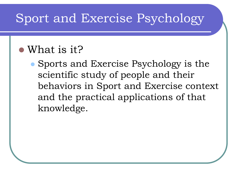#### Sport and Exercise Psychology

#### What is it?

• Sports and Exercise Psychology is the scientific study of people and their behaviors in Sport and Exercise context and the practical applications of that knowledge.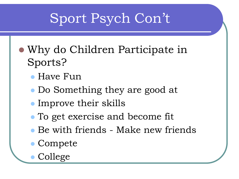# Sport Psych Con't

- Why do Children Participate in Sports?
	- Have Fun
	- Do Something they are good at
	- Improve their skills
	- To get exercise and become fit
	- Be with friends Make new friends
	- Compete
	- College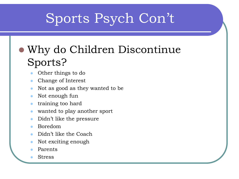# Sports Psych Con't

#### Why do Children Discontinue Sports?

- Other things to do
- Change of Interest
- Not as good as they wanted to be
- Not enough fun
- training too hard
- wanted to play another sport
- Didn't like the pressure
- Boredom
- Didn't like the Coach
- Not exciting enough
- Parents
- Stress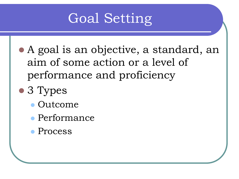# Goal Setting

- A goal is an objective, a standard, an aim of some action or a level of performance and proficiency
- 3 Types
	- Outcome
	- Performance
	- Process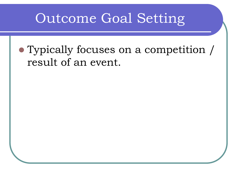### Outcome Goal Setting

#### Typically focuses on a competition / result of an event.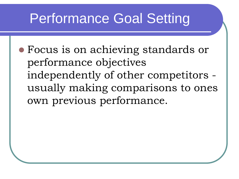# Performance Goal Setting

 Focus is on achieving standards or performance objectives independently of other competitors usually making comparisons to ones own previous performance.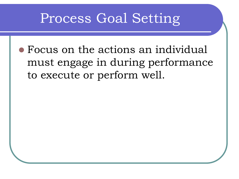#### Process Goal Setting

 Focus on the actions an individual must engage in during performance to execute or perform well.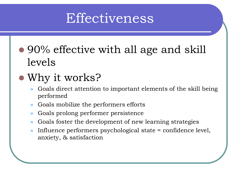### Effectiveness

• 90% effective with all age and skill levels

#### Why it works?

- Goals direct attention to important elements of the skill being performed
- Goals mobilize the performers efforts
- Goals prolong performer persistence
- Goals foster the development of new learning strategies
- Influence performers psychological state = confidence level, anxiety, & satisfaction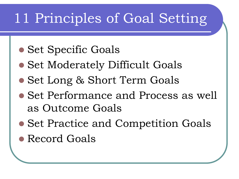# 11 Principles of Goal Setting

- Set Specific Goals
- Set Moderately Difficult Goals
- Set Long & Short Term Goals
- Set Performance and Process as well as Outcome Goals
- Set Practice and Competition Goals
- Record Goals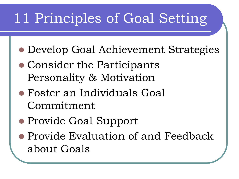# 11 Principles of Goal Setting

- Develop Goal Achievement Strategies
- Consider the Participants Personality & Motivation
- Foster an Individuals Goal Commitment
- Provide Goal Support
- Provide Evaluation of and Feedback about Goals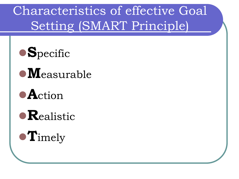Characteristics of effective Goal Setting (SMART Principle)



- **M**easurable
- **A**ction
- **R**ealistic

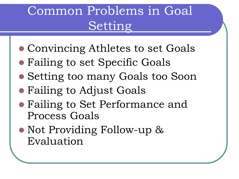## Common Problems in Goal Setting

- Convincing Athletes to set Goals
- Failing to set Specific Goals
- Setting too many Goals too Soon
- Failing to Adjust Goals
- Failing to Set Performance and Process Goals
- Not Providing Follow-up & Evaluation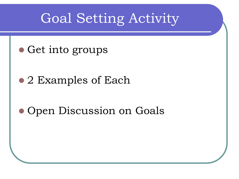### Goal Setting Activity

• Get into groups

• 2 Examples of Each

• Open Discussion on Goals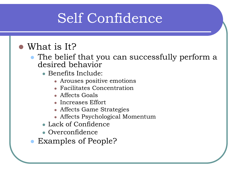# Self Confidence

#### What is It?

- The belief that you can successfully perform a desired behavior
	- Benefits Include:
		- Arouses positive emotions
		- Facilitates Concentration
		- Affects Goals
		- Increases Effort
		- Affects Game Strategies
		- Affects Psychological Momentum
	- Lack of Confidence
	- Overconfidence
- Examples of People?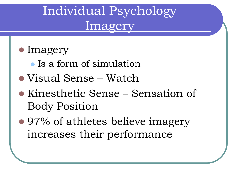### Individual Psychology Imagery

#### • Imagery

- Is a form of simulation
- Visual Sense Watch
- Kinesthetic Sense Sensation of Body Position
- 97% of athletes believe imagery increases their performance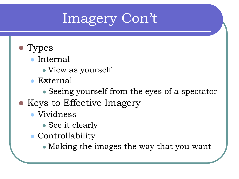# Imagery Con't

#### • Types

- Internal
	- View as yourself
- External
	- Seeing yourself from the eyes of a spectator
- Keys to Effective Imagery
	- Vividness
		- See it clearly
	- Controllability
		- Making the images the way that you want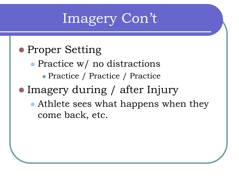# Imagery Con't

#### • Proper Setting

• Practice w/ no distractions

Practice / Practice / Practice

• Imagery during / after Injury

 Athlete sees what happens when they come back, etc.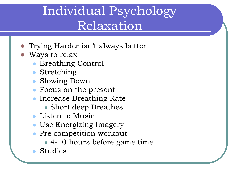### Individual Psychology Relaxation

- Trying Harder isn't always better
- Ways to relax
	- Breathing Control
	- Stretching
	- Slowing Down
	- Focus on the present
	- **Increase Breathing Rate** 
		- Short deep Breathes
	- Listen to Music
	- Use Energizing Imagery
	- Pre competition workout
		- 4-10 hours before game time
	- Studies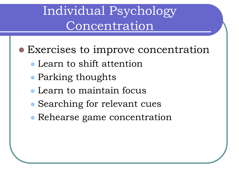#### Individual Psychology Concentration

- Exercises to improve concentration
	- Learn to shift attention
	- Parking thoughts
	- Learn to maintain focus
	- Searching for relevant cues
	- Rehearse game concentration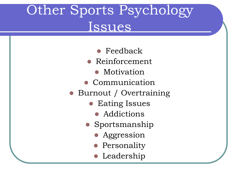# Other Sports Psychology Issues

- Feedback
- Reinforcement
	- Motivation
- Communication
- Burnout / Overtraining
	- **Eating Issues** 
		- Addictions
	- Sportsmanship
		- Aggression
		- **•** Personality
		- **•** Leadership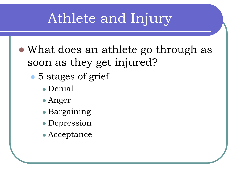- What does an athlete go through as soon as they get injured?
	- 5 stages of grief
		- Denial
		- Anger
		- Bargaining
		- Depression
		- Acceptance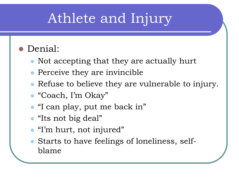#### Denial:

- Not accepting that they are actually hurt
- Perceive they are invincible
- Refuse to believe they are vulnerable to injury.
- "Coach, I'm Okay"
- "I can play, put me back in"
- "Its not big deal"
- "I'm hurt, not injured"
- Starts to have feelings of loneliness, selfblame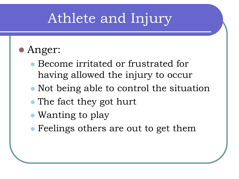- Anger:
	- Become irritated or frustrated for having allowed the injury to occur
	- Not being able to control the situation
	- The fact they got hurt
	- Wanting to play
	- Feelings others are out to get them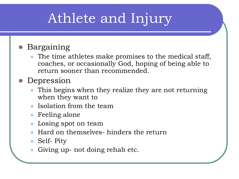#### Bargaining

 The time athletes make promises to the medical staff, coaches, or occasionally God, hoping of being able to return sooner than recommended.

#### Depression

- This begins when they realize they are not returning when they want to
- Isolation from the team
- Feeling alone
- Losing spot on team
- Hard on themselves- hinders the return
- Self- Pity
- Giving up- not doing rehab etc.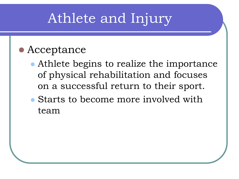#### Acceptance

- Athlete begins to realize the importance of physical rehabilitation and focuses on a successful return to their sport.
- Starts to become more involved with team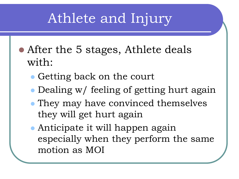- After the 5 stages, Athlete deals with:
	- Getting back on the court
	- Dealing w/ feeling of getting hurt again
	- They may have convinced themselves they will get hurt again
	- Anticipate it will happen again especially when they perform the same motion as MOI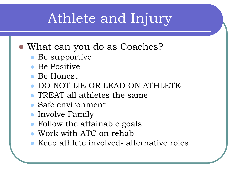- What can you do as Coaches?
	- Be supportive
	- Be Positive
	- Be Honest
	- DO NOT LIE OR LEAD ON ATHLETE
	- TREAT all athletes the same
	- Safe environment
	- Involve Family
	- Follow the attainable goals
	- Work with ATC on rehab
	- Keep athlete involved- alternative roles